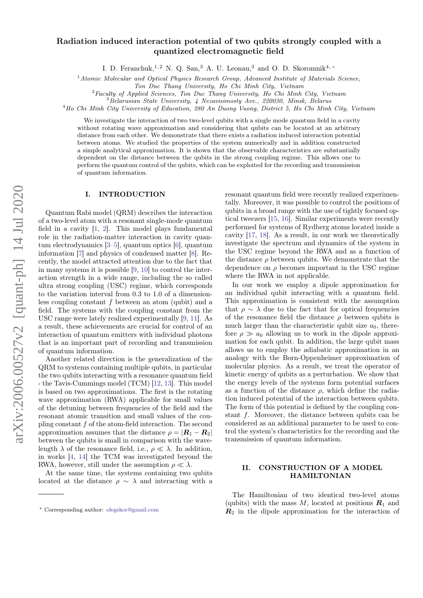# Radiation induced interaction potential of two qubits strongly coupled with a quantized electromagnetic field

I. D. Feranchuk,<sup>1, 2</sup> N. Q. San,<sup>3</sup> A. U. Leonau,<sup>3</sup> and O. D. Skoromnik<sup>4, \*</sup>

 $1$ Atomic Molecular and Optical Physics Research Group, Advanced Institute of Materials Science,

Ton Duc Thang University, Ho Chi Minh City, Vietnam

 $2$ Faculty of Applied Sciences, Ton Duc Thang University, Ho Chi Minh City, Vietnam

<sup>3</sup>Belarusian State University, 4 Nezavisimosty Ave., 220030, Minsk, Belarus

<sup>4</sup>Ho Chi Minh City University of Education, 280 An Duong Vuong, District 5, Ho Chi Minh City, Vietnam

We investigate the interaction of two two-level qubits with a single mode quantum field in a cavity without rotating wave approximation and considering that qubits can be located at an arbitrary distance from each other. We demonstrate that there exists a radiation induced interaction potential between atoms. We studied the properties of the system numerically and in addition constructed a simple analytical approximation. It is shown that the observable characteristics are substantially dependent on the distance between the qubits in the strong coupling regime. This allows one to perform the quantum control of the qubits, which can be exploited for the recording and transmission of quantum information.

### I. INTRODUCTION

Quantum Rabi model (QRM) describes the interaction of a two-level atom with a resonant single-mode quantum field in a cavity [\[1,](#page-7-0) [2\]](#page-7-1). This model plays fundamental role in the radiation-matter interaction in cavity quantum electrodynamics [\[3](#page-7-2)[–5\]](#page-7-3), quantum optics [\[6\]](#page-7-4), quantum information [\[7\]](#page-7-5) and physics of condensed matter [\[8\]](#page-7-6). Recently, the model attracted attention due to the fact that in many systems it is possible [\[9,](#page-7-7) [10\]](#page-7-8) to control the interaction strength in a wide range, including the so called ultra strong coupling (USC) regime, which corresponds to the variation interval from 0.3 to 1.0 of a dimensionless coupling constant  $f$  between an atom (qubit) and a field. The systems with the coupling constant from the USC range were lately realized experimentally [\[9,](#page-7-7) [11\]](#page-7-9). As a result, these achievements are crucial for control of an interaction of quantum emitters with individual photons that is an important part of recording and transmission of quantum information.

Another related direction is the generalization of the QRM to systems containing multiple qubits, in particular the two qubits interacting with a resonance quantum field - the Tavis-Cummings model (TCM) [\[12,](#page-7-10) [13\]](#page-7-11). This model is based on two approximations. The first is the rotating wave approximation (RWA) applicable for small values of the detuning between frequencies of the field and the resonant atomic transition and small values of the coupling constant f of the atom-field interaction. The second approximation assumes that the distance  $\rho = |{\bf R}_1 - {\bf R}_2|$ between the qubits is small in comparison with the wavelength  $\lambda$  of the resonance field, i.e.,  $\rho \ll \lambda$ . In addition, in works [\[4,](#page-7-12) [14\]](#page-7-13) the TCM was investigated beyond the RWA, however, still under the assumption  $\rho \ll \lambda$ .

At the same time, the systems containing two qubits located at the distance  $\rho \sim \lambda$  and interacting with a resonant quantum field were recently realized experimentally. Moreover, it was possible to control the positions of qubits in a broad range with the use of tightly focused optical tweezers [\[15,](#page-7-14) [16\]](#page-7-15). Similar experiments were recently performed for systems of Rydberg atoms located inside a cavity [\[17,](#page-7-16) [18\]](#page-7-17). As a result, in our work we theoretically investigate the spectrum and dynamics of the system in the USC regime beyond the RWA and as a function of the distance  $\rho$  between qubits. We demonstrate that the dependence on  $\rho$  becomes important in the USC regime where the RWA in not applicable.

In our work we employ a dipole approximation for an individual qubit interacting with a quantum field. This approximation is consistent with the assumption that  $\rho \sim \lambda$  due to the fact that for optical frequencies of the resonance field the distance  $\rho$  between qubits is much larger than the characteristic qubit size  $a_0$ , therefore  $\rho \gg a_0$  allowing us to work in the dipole approximation for each qubit. In addition, the large qubit mass allows us to employ the adiabatic approximation in an analogy with the Born-Oppenheimer approximation of molecular physics. As a result, we treat the operator of kinetic energy of qubits as a perturbation. We show that the energy levels of the systems form potential surfaces as a function of the distance  $\rho$ , which define the radiation induced potential of the interaction between qubits. The form of this potential is defined by the coupling constant  $f$ . Moreover, the distance between qubits can be considered as an additional parameter to be used to control the system's characteristics for the recording and the transmission of quantum information.

### II. CONSTRUCTION OF A MODEL HAMILTONIAN

The Hamiltonian of two identical two-level atoms (qubits) with the mass  $M$ , located at positions  $\mathbf{R}_1$  and  $R_2$  in the dipole approximation for the interaction of

<span id="page-0-0"></span><sup>∗</sup> Corresponding author: [olegskor@gmail.com](mailto:olegskor@gmail.com)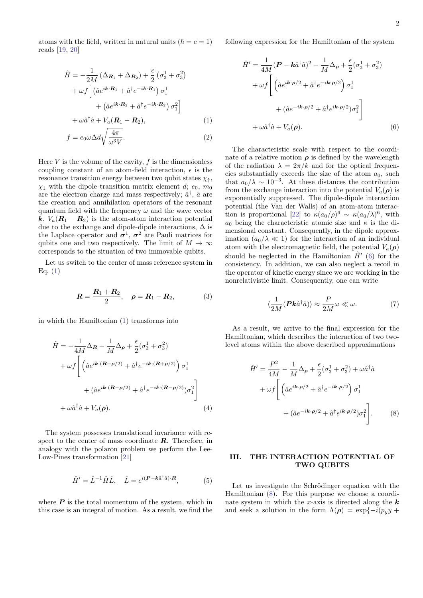atoms with the field, written in natural units  $(\hbar = c = 1)$ reads [\[19,](#page-7-18) [20\]](#page-7-19)

$$
\hat{H} = -\frac{1}{2M} \left( \Delta_{\mathbf{R}_1} + \Delta_{\mathbf{R}_2} \right) + \frac{\epsilon}{2} \left( \sigma_3^1 + \sigma_3^2 \right) \n+ \omega f \left[ \left( \hat{a} e^{i\mathbf{k} \cdot \mathbf{R}_1} + \hat{a}^\dagger e^{-i\mathbf{k} \cdot \mathbf{R}_1} \right) \sigma_1^1 \right. \n+ \left( \hat{a} e^{i\mathbf{k} \cdot \mathbf{R}_2} + \hat{a}^\dagger e^{-i\mathbf{k} \cdot \mathbf{R}_2} \right) \sigma_1^2 \right] \n+ \omega \hat{a}^\dagger \hat{a} + V_a (\mathbf{R}_1 - \mathbf{R}_2), \tag{1}
$$

$$
f = e_0 \omega \Delta d \sqrt{\frac{4\pi}{\omega^3 V}}.
$$
 (2)

Here  $V$  is the volume of the cavity,  $f$  is the dimensionless coupling constant of an atom-field interaction,  $\epsilon$  is the resonance transition energy between two qubit states  $\chi_{\uparrow}$ ,  $\chi_{\perp}$  with the dipole transition matrix element d;  $e_0$ ,  $m_0$ are the electron charge and mass respectively;  $\hat{a}^{\dagger}$ ,  $\hat{a}$  are the creation and annihilation operators of the resonant quantum field with the frequency  $\omega$  and the wave vector k,  $V_a(R_1 - R_2)$  is the atom-atom interaction potential due to the exchange and dipole-dipole interactions,  $\Delta$  is the Laplace operator and  $\sigma^1$ ,  $\sigma^2$  are Pauli matrices for qubits one and two respectively. The limit of  $M \to \infty$ corresponds to the situation of two immovable qubits.

Let us switch to the center of mass reference system in Eq.  $(1)$ 

$$
R = \frac{R_1 + R_2}{2}, \quad \rho = R_1 - R_2, \tag{3}
$$

in which the Hamiltonian [\(1\)](#page-1-0) transforms into

$$
\hat{H} = -\frac{1}{4M} \Delta_{\mathbf{R}} - \frac{1}{M} \Delta_{\rho} + \frac{\epsilon}{2} (\sigma_3^1 + \sigma_3^2)
$$

$$
+ \omega f \left[ \left( \hat{a} e^{i\mathbf{k} \cdot (\mathbf{R} + \rho/2)} + \hat{a}^{\dagger} e^{-i\mathbf{k} \cdot (\mathbf{R} + \rho/2)} \right) \sigma_1^1 + (\hat{a} e^{i\mathbf{k} \cdot (\mathbf{R} - \rho/2)} + \hat{a}^{\dagger} e^{-i\mathbf{k} \cdot (\mathbf{R} - \rho/2)}) \sigma_1^2 \right]
$$

$$
+ \omega \hat{a}^{\dagger} \hat{a} + V_a(\rho). \tag{4}
$$

The system possesses translational invariance with respect to the center of mass coordinate  $\boldsymbol{R}$ . Therefore, in analogy with the polaron problem we perform the Lee-Low-Pines transformation [\[21\]](#page-7-20)

$$
\hat{H}' = \hat{L}^{-1}\hat{H}\hat{L}, \quad \hat{L} = e^{i(\boldsymbol{P} - \boldsymbol{k}\hat{a}^\dagger\hat{a})\cdot\boldsymbol{R}}, \tag{5}
$$

where  $P$  is the total momentum of the system, which in this case is an integral of motion. As a result, we find the following expression for the Hamiltonian of the system

<span id="page-1-1"></span>
$$
\hat{H}' = \frac{1}{4M} (\boldsymbol{P} - \boldsymbol{k}\hat{a}^{\dagger}\hat{a})^2 - \frac{1}{M} \Delta_{\boldsymbol{\rho}} + \frac{\epsilon}{2} (\sigma_3^1 + \sigma_3^2) \n+ \omega f \left[ \left( \hat{a} e^{i\boldsymbol{k}\cdot\boldsymbol{\rho}/2} + \hat{a}^{\dagger} e^{-i\boldsymbol{k}\cdot\boldsymbol{\rho}/2} \right) \sigma_1^1 \right. \n+ \left( \hat{a} e^{-i\boldsymbol{k}\cdot\boldsymbol{\rho}/2} + \hat{a}^{\dagger} e^{i\boldsymbol{k}\cdot\boldsymbol{\rho}/2} \right) \sigma_1^2 \right] \n+ \omega \hat{a}^{\dagger} \hat{a} + V_a(\boldsymbol{\rho}).
$$
\n(6)

<span id="page-1-0"></span>The characteristic scale with respect to the coordinate of a relative motion  $\rho$  is defined by the wavelength of the radiation  $\lambda = 2\pi/k$  and for the optical frequencies substantially exceeds the size of the atom  $a_0$ , such that  $a_0/\lambda \sim 10^{-3}$ . At these distances the contribution from the exchange interaction into the potential  $V_a(\rho)$  is exponentially suppressed. The dipole-dipole interaction potential (the Van der Walls) of an atom-atom interac-tion is proportional [\[22\]](#page-7-21) to  $\kappa (a_0/\rho)^6 \sim \kappa (a_0/\lambda)^6$ , with  $a_0$  being the characteristic atomic size and  $\kappa$  is the dimensional constant. Consequently, in the dipole approximation  $(a_0/\lambda \ll 1)$  for the interaction of an individual atom with the electromagnetic field, the potential  $V_a(\rho)$ should be neglected in the Hamiltonian  $\hat{H}'$  [\(6\)](#page-1-1) for the consistency. In addition, we can also neglect a recoil in the operator of kinetic energy since we are working in the nonrelativistic limit. Consequently, one can write

$$
\langle \frac{1}{2M} (\mathbf{P} \mathbf{k} \hat{a}^{\dagger} \hat{a}) \rangle \approx \frac{P}{2M} \omega \ll \omega.
$$
 (7)

As a result, we arrive to the final expression for the Hamiltonian, which describes the interaction of two twolevel atoms within the above described approximations

<span id="page-1-2"></span>
$$
\hat{H}' = \frac{P^2}{4M} - \frac{1}{M}\Delta_{\rho} + \frac{\epsilon}{2}(\sigma_3^1 + \sigma_3^2) + \omega \hat{a}^{\dagger} \hat{a} \n+ \omega f \left[ \left( \hat{a}e^{i\mathbf{k}\cdot\boldsymbol{\rho}/2} + \hat{a}^{\dagger}e^{-i\mathbf{k}\cdot\boldsymbol{\rho}/2} \right) \sigma_1^1 \right. \n+ \left( \hat{a}e^{-i\mathbf{k}\cdot\boldsymbol{\rho}/2} + \hat{a}^{\dagger}e^{i\mathbf{k}\cdot\boldsymbol{\rho}/2} \right) \sigma_1^2 \right].
$$
\n(8)

## III. THE INTERACTION POTENTIAL OF TWO QUBITS

Let us investigate the Schrödinger equation with the Hamiltonian [\(8\)](#page-1-2). For this purpose we choose a coordinate system in which the x-axis is directed along the  $k$ and seek a solution in the form  $\Lambda(\rho) = \exp\{-i(p_y y + \rho)\}$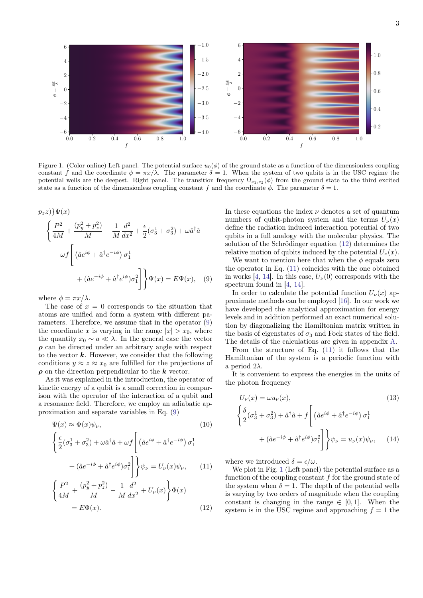

<span id="page-2-3"></span>Figure 1. (Color online) Left panel. The potential surface  $u_0(\phi)$  of the ground state as a function of the dimensionless coupling constant f and the coordinate  $\phi = \pi x/\lambda$ . The parameter  $\delta = 1$ . When the system of two qubits is in the USC regime the potential wells are the deepest. Right panel. The transition frequency  $\Omega_{\nu_1,\nu_2}(\phi)$  from the ground state to the third excited state as a function of the dimensionless coupling constant f and the coordinate  $\phi$ . The parameter  $\delta = 1$ .

$$
p_z z) \Psi(x)
$$
  

$$
\left\{ \frac{P^2}{4M} + \frac{(p_y^2 + p_z^2)}{M} - \frac{1}{M} \frac{d^2}{dx^2} + \frac{\epsilon}{2} (\sigma_3^1 + \sigma_3^2) + \omega \hat{a}^\dagger \hat{a} \right\}
$$
  

$$
+ \omega f \left[ \left( \hat{a} e^{i\phi} + \hat{a}^\dagger e^{-i\phi} \right) \sigma_1^1 + (\hat{a} e^{-i\phi} + \hat{a}^\dagger e^{i\phi}) \sigma_1^2 \right] \right\} \Psi(x) = E \Psi(x), \quad (9)
$$

where  $\phi = \pi x / \lambda$ .

The case of  $x = 0$  corresponds to the situation that atoms are unified and form a system with different parameters. Therefore, we assume that in the operator [\(9\)](#page-2-0) the coordinate x is varying in the range  $|x| > x_0$ , where the quantity  $x_0 \sim a \ll \lambda$ . In the general case the vector  $\rho$  can be directed under an arbitrary angle with respect to the vector  $k$ . However, we consider that the following conditions  $y \approx z \approx x_0$  are fulfilled for the projections of  $\rho$  on the direction perpendicular to the  $k$  vector.

As it was explained in the introduction, the operator of kinetic energy of a qubit is a small correction in comparison with the operator of the interaction of a qubit and a resonance field. Therefore, we employ an adiabatic approximation and separate variables in Eq. [\(9\)](#page-2-0)

$$
\Psi(x) \approx \Phi(x)\psi_{\nu},\tag{10}
$$

$$
\left\{\frac{\epsilon}{2}(\sigma_3^1 + \sigma_3^2) + \omega \hat{a}^\dagger \hat{a} + \omega f \left[ \left( \hat{a}e^{i\phi} + \hat{a}^\dagger e^{-i\phi} \right) \sigma_1^1 \right. \right.\left. + (\hat{a}e^{-i\phi} + \hat{a}^\dagger e^{i\phi}) \sigma_1^2 \right] \right\} \psi_\nu = U_\nu(x) \psi_\nu, \qquad (11)
$$

$$
\left\{\frac{P^2}{4M} + \frac{(p_y^2 + p_z^2)}{M} - \frac{1}{M}\frac{d^2}{dx^2} + U_{\nu}(x)\right\}\Phi(x)
$$
  
=  $E\Phi(x)$ . (12)

In these equations the index  $\nu$  denotes a set of quantum numbers of qubit-photon system and the terms  $U_{\nu}(x)$ define the radiation induced interaction potential of two qubits in a full analogy with the molecular physics. The solution of the Schrödinger equation [\(12\)](#page-2-1) determines the relative motion of qubits induced by the potential  $U_{\nu}(x)$ .

<span id="page-2-0"></span>We want to mention here that when the  $\phi$  equals zero the operator in Eq. [\(11\)](#page-2-2) coincides with the one obtained in works [\[4,](#page-7-12) [14\]](#page-7-13). In this case,  $U_{\nu}(0)$  corresponds with the spectrum found in [\[4,](#page-7-12) [14\]](#page-7-13).

In order to calculate the potential function  $U_{\nu}(x)$  approximate methods can be employed [\[16\]](#page-7-15). In our work we have developed the analytical approximation for energy levels and in addition performed an exact numerical solution by diagonalizing the Hamiltonian matrix written in the basis of eigenstates of  $\sigma_3$  and Fock states of the field. The details of the calculations are given in appendix [A.](#page-5-0)

From the structure of Eq. [\(11\)](#page-2-2) it follows that the Hamiltonian of the system is a periodic function with a period  $2\lambda$ .

It is convenient to express the energies in the units of the photon frequency

<span id="page-2-4"></span>(13)  
\n
$$
\begin{cases}\n\frac{\delta}{2}(\sigma_3^1 + \sigma_3^2) + \hat{a}^\dagger \hat{a} + f\left[\left(\hat{a}e^{i\phi} + \hat{a}^\dagger e^{-i\phi}\right)\sigma_1^1 + (\hat{a}e^{-i\phi} + \hat{a}^\dagger e^{i\phi})\sigma_1^2\right]\n\end{cases}
$$
\n
$$
(13)
$$
\n
$$
+ (\hat{a}e^{-i\phi} + \hat{a}^\dagger e^{i\phi})\sigma_1^2\right]\psi_\nu = u_\nu(x)\psi_\nu, \quad (14)
$$

<span id="page-2-2"></span>where we introduced  $\delta = \epsilon/\omega$ .

<span id="page-2-1"></span>We plot in Fig. [1](#page-2-3) (Left panel) the potential surface as a function of the coupling constant  $f$  for the ground state of the system when  $\delta = 1$ . The depth of the potential wells is varying by two orders of magnitude when the coupling constant is changing in the range  $\in [0, 1]$ . When the system is in the USC regime and approaching  $f = 1$  the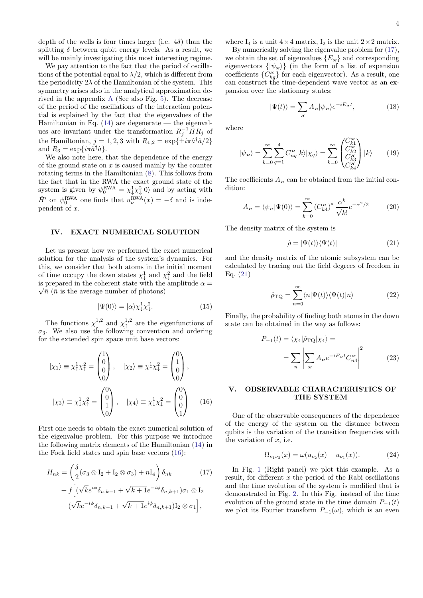depth of the wells is four times larger (i.e.  $4\delta$ ) than the splitting  $\delta$  between qubit energy levels. As a result, we will be mainly investigating this most interesting regime.

We pay attention to the fact that the period of oscillations of the potential equal to  $\lambda/2$ , which is different from the periodicity  $2\lambda$  of the Hamiltonian of the system. This symmetry arises also in the analytical approximation derived in the appendix [A](#page-5-0) (See also Fig. [5\)](#page-6-0). The decrease of the period of the oscillations of the interaction potential is explained by the fact that the eigenvalues of the Hamiltonian in Eq.  $(14)$  are degenerate — the eigenvalues are invariant under the transformation  $R_j^{-1} H R_j$  of the Hamiltonian,  $j = 1, 2, 3$  with  $R_{1,2} = \exp{\{\pm i\pi \hat{a}^\dagger \hat{a}/2\}}$ and  $R_3 = \exp\{i\pi \hat{a}^\dagger \hat{a}\}.$ 

We also note here, that the dependence of the energy of the ground state on  $x$  is caused mainly by the counter rotating terms in the Hamiltonian [\(8\)](#page-1-2). This follows from the fact that in the RWA the exact ground state of the system is given by  $\psi_0^{\text{RWA}} = \chi^1_\downarrow \chi^2_\downarrow |0\rangle$  and by acting with  $\hat{H}'$  on  $\psi_0^{\text{RWA}}$  one finds that  $u_\nu^{\text{RWA}}(x) = -\delta$  and is independent of  $x$ .

#### IV. EXACT NUMERICAL SOLUTION

Let us present how we performed the exact numerical solution for the analysis of the system's dynamics. For this, we consider that both atoms in the initial moment of time occupy the down states  $\chi^1_\downarrow$  and  $\chi^2_\downarrow$  and the field is prepared in the coherent state with the amplitude  $\alpha =$  $\sqrt{\bar{n}}$  ( $\bar{n}$  is the average number of photons)

$$
|\Psi(0)\rangle = |\alpha\rangle \chi_{\downarrow}^{1} \chi_{\downarrow}^{2}.
$$
 (15)

The functions  $\chi^{1,2}_{\downarrow}$  and  $\chi^{1,2}_{\uparrow}$  are the eigenfunctions of  $\sigma_3$ . We also use the following convention and ordering for the extended spin space unit base vectors:

$$
|\chi_1\rangle \equiv \chi_1^1 \chi_1^2 = \begin{pmatrix} 1 \\ 0 \\ 0 \\ 0 \end{pmatrix}, \quad |\chi_2\rangle \equiv \chi_1^1 \chi_1^2 = \begin{pmatrix} 0 \\ 1 \\ 0 \\ 0 \end{pmatrix},
$$

$$
|\chi_3\rangle \equiv \chi_1^1 \chi_1^2 = \begin{pmatrix} 0 \\ 0 \\ 1 \\ 0 \end{pmatrix}, \quad |\chi_4\rangle \equiv \chi_1^1 \chi_1^2 = \begin{pmatrix} 0 \\ 0 \\ 0 \\ 1 \end{pmatrix} \quad (16)
$$

First one needs to obtain the exact numerical solution of the eigenvalue problem. For this purpose we introduce the following matrix elements of the Hamiltonian [\(14\)](#page-2-4) in the Fock field states and spin base vectors [\(16\)](#page-3-0):

$$
H_{nk} = \left(\frac{\delta}{2}(\sigma_3 \otimes I_2 + I_2 \otimes \sigma_3) + nI_4\right)\delta_{nk} \qquad (17)
$$

$$
+ f\left[ (\sqrt{k}e^{i\phi}\delta_{n,k-1} + \sqrt{k+1}e^{-i\phi}\delta_{n,k+1})\sigma_1 \otimes I_2\right]
$$

$$
+ (\sqrt{k}e^{-i\phi}\delta_{n,k-1} + \sqrt{k+1}e^{i\phi}\delta_{n,k+1})I_2 \otimes \sigma_1\right],
$$

where  $I_4$  is a unit  $4 \times 4$  matrix,  $I_2$  is the unit  $2 \times 2$  matrix.

By numerically solving the eigenvalue problem for [\(17\)](#page-3-1), we obtain the set of eigenvalues  ${E_{\varkappa}}$  and corresponding eigenvectors  $\{|\psi_{\varkappa}\rangle\}$  (in the form of a list of expansion coefficients  $\{C_{kq}^{\times}\}$  for each eigenvector). As a result, one can construct the time-dependent wave vector as an expansion over the stationary states:

$$
|\Psi(t)\rangle = \sum_{\varkappa} A_{\varkappa} |\psi_{\varkappa}\rangle e^{-iE_{\varkappa}t},\tag{18}
$$

where

$$
|\psi_{\varkappa}\rangle = \sum_{k=0}^{\infty} \sum_{q=1}^{4} C_{nq}^{\varkappa} |k\rangle |\chi_{q}\rangle = \sum_{k=0}^{\infty} \begin{pmatrix} C_{k1}^{\varkappa} \\ C_{k2}^{\varkappa} \\ C_{k3}^{\varkappa} \\ C_{k4}^{\varkappa} \end{pmatrix} |k\rangle \tag{19}
$$

The coefficients  $A_{\varkappa}$  can be obtained from the initial condition:

$$
A_{\varkappa} = \langle \psi_{\varkappa} | \Psi(0) \rangle = \sum_{k=0}^{\infty} \left( C_{k4}^{\varkappa} \right)^* \frac{\alpha^k}{\sqrt{k!}} e^{-\alpha^2/2} \tag{20}
$$

The density matrix of the system is

<span id="page-3-2"></span>
$$
\hat{\rho} = |\Psi(t)\rangle\langle\Psi(t)|\tag{21}
$$

and the density matrix of the atomic subsystem can be calculated by tracing out the field degrees of freedom in Eq. [\(21\)](#page-3-2)

$$
\hat{\rho}_{\rm TQ} = \sum_{n=0}^{\infty} \langle n | \Psi(t) \rangle \langle \Psi(t) | n \rangle \tag{22}
$$

Finally, the probability of finding both atoms in the down state can be obtained in the way as follows:

$$
P_{-1}(t) = \langle \chi_4 | \hat{\rho}_{\text{TQ}} | \chi_4 \rangle =
$$
  
= 
$$
\sum_{n} \left| \sum_{\varkappa} A_{\varkappa} e^{-iE_{\varkappa}t} C_{n4}^{\varkappa} \right|^2
$$
 (23)

# <span id="page-3-0"></span>V. OBSERVABLE CHARACTERISTICS OF THE SYSTEM

One of the observable consequences of the dependence of the energy of the system on the distance between qubits is the variation of the transition frequencies with the variation of  $x$ , i.e.

$$
\Omega_{\nu_1 \nu_2}(x) = \omega(u_{\nu_2}(x) - u_{\nu_1}(x)). \tag{24}
$$

<span id="page-3-1"></span>In Fig. [1](#page-2-3) (Right panel) we plot this example. As a result, for different  $x$  the period of the Rabi oscillations and the time evolution of the system is modified that is demonstrated in Fig. [2.](#page-4-0) In this Fig. instead of the time evolution of the ground state in the time domain  $P_{-1}(t)$ we plot its Fourier transform  $P_{-1}(\omega)$ , which is an even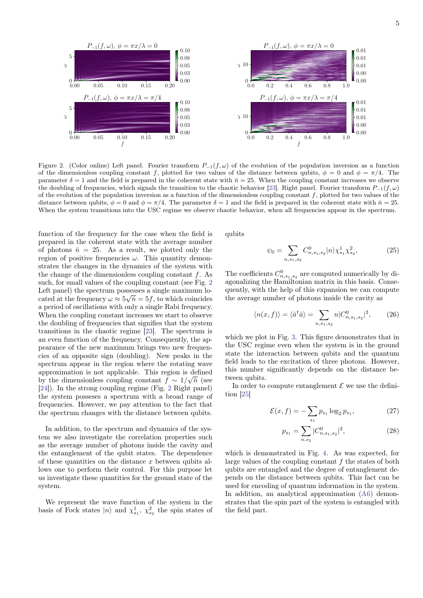

<span id="page-4-0"></span>Figure 2. (Color online) Left panel. Fourier transform  $P_{-1}(f,\omega)$  of the evolution of the population inversion as a function of the dimensionless coupling constant f, plotted for two values of the distance between qubits,  $\phi = 0$  and  $\phi = \pi/4$ . The parameter  $\delta = 1$  and the field is prepared in the coherent state with  $\bar{n} = 25$ . When the coupling constant increases we observe the doubling of frequencies, which signals the transition to the chaotic behavior [\[23\]](#page-7-22). Right panel. Fourier transform  $P_{-1}(f,\omega)$ of the evolution of the population inversion as a function of the dimensionless coupling constant  $f$ , plotted for two values of the distance between qubits,  $\phi = 0$  and  $\phi = \pi/4$ . The parameter  $\delta = 1$  and the field is prepared in the coherent state with  $\bar{n} = 25$ . When the system transitions into the USC regime we observe chaotic behavior, when all frequencies appear in the spectrum.

function of the frequency for the case when the field is prepared in the coherent state with the average number of photons  $\bar{n} = 25$ . As a result, we plotted only the region of positive frequencies  $\omega$ . This quantity demonstrates the changes in the dynamics of the system with the change of the dimensionless coupling constant  $f$ . As such, for small values of the coupling constant (see Fig. [2](#page-4-0) Left panel) the spectrum possesses a single maximum located at the frequency  $\omega \approx 5\sqrt{\bar{n}} = 5f$ , to which coincides a period of oscillations with only a single Rabi frequency. When the coupling constant increases we start to observe the doubling of frequencies that signifies that the system transitions in the chaotic regime [\[23\]](#page-7-22). The spectrum is an even function of the frequency. Consequently, the appearance of the new maximum brings two new frequencies of an opposite sign (doubling). New peaks in the spectrum appear in the region where the rotating wave approximation is not applicable. This region is defined by the dimensionless coupling constant  $f \sim 1/\sqrt{n}$  (see [\[24\]](#page-7-23)). In the strong coupling regime (Fig. [2](#page-4-0) Right panel) the system posseses a spectrum with a broad range of frequencies. However, we pay attention to the fact that the spectrum changes with the distance between qubits.

In addition, to the spectrum and dynamics of the system we also investigate the correlation properties such as the average number of photons inside the cavity and the entanglement of the qubit states. The dependence of these quantities on the distance  $x$  between qubits allows one to perform their control. For this purpose let us investigate these quantities for the ground state of the system.

We represent the wave function of the system in the basis of Fock states  $|n\rangle$  and  $\chi^1_{s_1}, \chi^2_{s_2}$  the spin states of

qubits

$$
\psi_0 = \sum_{n,s_1,s_2} C_{n,s_1,s_2}^0 |n\rangle \chi_{s_1}^1 \chi_{s_2}^2,\tag{25}
$$

The coefficients  $C_{n,s_1,s_2}^0$  are computed numerically by diagonalizing the Hamiltonian matrix in this basis. Consequently, with the help of this expansion we can compute the average number of photons inside the cavity as

$$
\langle n(x,f) \rangle = \langle \hat{a}^\dagger \hat{a} \rangle = \sum_{n,s_1,s_2} n |C_{n,s_1,s_2}^0|^2, \qquad (26)
$$

which we plot in Fig. [3.](#page-5-1) This figure demonstrates that in the USC regime even when the system is in the ground state the interaction between qubits and the quantum field leads to the excitation of three photons. However, this number significantly depends on the distance between qubits.

In order to compute entanglement  $\mathcal E$  we use the definition [\[25\]](#page-7-24)

$$
\mathcal{E}(x,f) = -\sum_{s_1} p_{s_1} \log_2 p_{s_1},\tag{27}
$$

$$
p_{s_1} = \sum_{n,s_2} |C_{n,s_1,s_2}^0|^2,\tag{28}
$$

which is demonstrated in Fig. [4.](#page-5-2) As was expected, for large values of the coupling constant  $f$  the states of both qubits are entangled and the degree of entanglement depends on the distance between qubits. This fact can be used for encoding of quantum information in the system. In addition, an analytical approximation [\(A6\)](#page-6-1) demonstrates that the spin part of the system is entangled with the field part.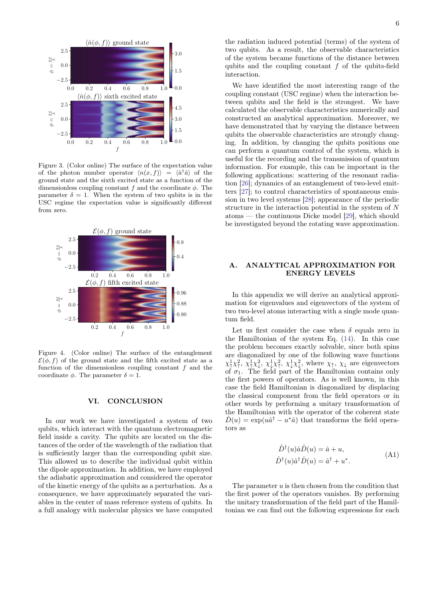

<span id="page-5-1"></span>Figure 3. (Color online) The surface of the expectation value of the photon number operator  $\langle n(x,f) \rangle = \langle \hat{a}^\dagger \hat{a} \rangle$  of the ground state and the sixth excited state as a function of the dimensionless coupling constant  $f$  and the coordinate  $\phi$ . The parameter  $\delta = 1$ . When the system of two qubits is in the USC regime the expectation value is significantly different from zero.



<span id="page-5-2"></span>Figure 4. (Color online) The surface of the entanglement  $\mathcal{E}(\phi, f)$  of the ground state and the fifth excited state as a function of the dimensionless coupling constant  $f$  and the coordinate  $\phi$ . The parameter  $\delta = 1$ .

#### VI. CONCLUSION

In our work we have investigated a system of two qubits, which interact with the quantum electromagnetic field inside a cavity. The qubits are located on the distances of the order of the wavelength of the radiation that is sufficiently larger than the corresponding qubit size. This allowed us to describe the individual qubit within the dipole approximation. In addition, we have employed the adiabatic approximation and considered the operator of the kinetic energy of the qubits as a perturbation. As a consequence, we have approximately separated the variables in the center of mass reference system of qubits. In a full analogy with molecular physics we have computed

the radiation induced potential (terms) of the system of two qubits. As a result, the observable characteristics of the system became functions of the distance between qubits and the coupling constant  $f$  of the qubits-field interaction.

We have identified the most interesting range of the coupling constant (USC regime) when the interaction between qubits and the field is the strongest. We have calculated the observable characteristics numerically and constructed an analytical approximation. Moreover, we have demonstrated that by varying the distance between qubits the observable characteristics are strongly changing. In addition, by changing the qubits positions one can perform a quantum control of the system, which is useful for the recording and the transmission of quantum information. For example, this can be important in the following applications: scattering of the resonant radiation [\[26\]](#page-7-25); dynamics of an entanglement of two-level emitters [\[27\]](#page-7-26); to control characteristics of spontaneous emission in two level systems [\[28\]](#page-7-27); appearance of the periodic structure in the interaction potential in the system of N atoms — the continuous Dicke model [\[29\]](#page-7-28), which should be investigated beyond the rotating wave approximation.

# <span id="page-5-0"></span>A. ANALYTICAL APPROXIMATION FOR ENERGY LEVELS

In this appendix we will derive an analytical approximation for eigenvalues and eigenvectors of the system of two two-level atoms interacting with a single mode quantum field.

Let us first consider the case when  $\delta$  equals zero in the Hamiltonian of the system Eq. [\(14\)](#page-2-4). In this case the problem becomes exactly solvable, since both spins are diagonalized by one of the following wave functions  $\chi_1^1 \chi_7^2$ ,  $\chi_1^1 \chi_7^2$ ,  $\chi_1^1 \chi_7^2$ , where  $\chi_7$ ,  $\chi_7$  are eigenvectors of  $\sigma_1$ . The field part of the Hamiltonian contains only the first powers of operators. As is well known, in this case the field Hamiltonian is diagonalized by displacing the classical component from the field operators or in other words by performing a unitary transformation of the Hamiltonian with the operator of the coherent state  $\hat{D}(u) = \exp(u\hat{a}^\dagger - u^*\hat{a})$  that transforms the field operators as

$$
\hat{D}^{\dagger}(u)\hat{a}\hat{D}(u) = \hat{a} + u,
$$
  
\n
$$
\hat{D}^{\dagger}(u)\hat{a}^{\dagger}\hat{D}(u) = \hat{a}^{\dagger} + u^*.
$$
\n(A1)

The parameter  $u$  is then chosen from the condition that the first power of the operators vanishes. By performing the unitary transformation of the field part of the Hamiltonian we can find out the following expressions for each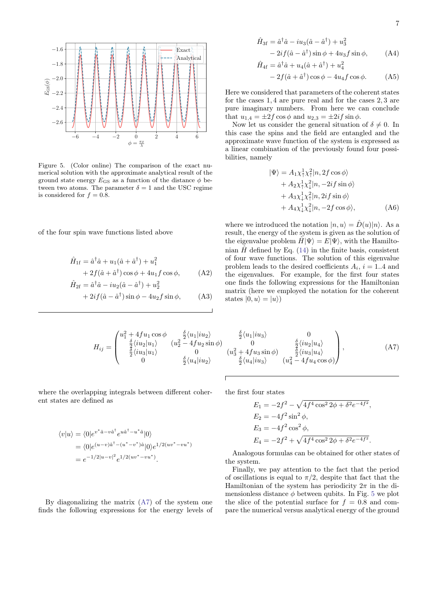

<span id="page-6-0"></span>Figure 5. (Color online) The comparison of the exact numerical solution with the approximate analytical result of the ground state energy  $E_{\text{GS}}$  as a function of the distance  $\phi$  between two atoms. The parameter  $\delta=1$  and the USC regime is considered for  $f = 0.8$ .

of the four spin wave functions listed above

$$
\hat{H}_{1f} = \hat{a}^\dagger \hat{a} + u_1(\hat{a} + \hat{a}^\dagger) + u_1^2
$$
  
+ 2f(\hat{a} + \hat{a}^\dagger)\cos\phi + 4u\_1f\cos\phi, (A2)

$$
\hat{H}_{2\text{f}} = \hat{a}^{\dagger}\hat{a} - iu_2(\hat{a} - \hat{a}^{\dagger}) + u_2^2
$$
  
+ 2i f(\hat{a} - \hat{a}^{\dagger})\sin\phi - 4u\_2 f\sin\phi \t(33)

$$
+2if(\hat{a}-\hat{a}^{\dagger})\sin\phi-4u_2f\sin\phi, \qquad (A3)
$$

$$
\hat{H}_{3f} = \hat{a}^{\dagger}\hat{a} - iu_3(\hat{a} - \hat{a}^{\dagger}) + u_3^2
$$
  
- 2if  $(\hat{a} - \hat{a}^{\dagger})\sin\phi + 4u_3f\sin\phi$ , (A4)

$$
\hat{H}_{4\text{f}} = \hat{a}^{\dagger}\hat{a} + u_4(\hat{a} + \hat{a}^{\dagger}) + u_4^2
$$

$$
-2f(\hat{a} + \hat{a}^{\dagger})\cos\phi - 4u_4f\cos\phi. \tag{A5}
$$

Here we considered that parameters of the coherent states for the cases 1, 4 are pure real and for the cases 2, 3 are pure imaginary numbers. From here we can conclude that  $u_{1,4} = \pm 2f \cos \phi$  and  $u_{2,3} = \pm 2if \sin \phi$ .

Now let us consider the general situation of  $\delta \neq 0$ . In this case the spins and the field are entangled and the approximate wave function of the system is expressed as a linear combination of the previously found four possibilities, namely

<span id="page-6-1"></span>
$$
|\Psi\rangle = A_1 \chi_1^1 \chi_1^2 |n, 2f \cos \phi\rangle + A_2 \chi_1^1 \chi_1^2 |n, -2if \sin \phi\rangle + A_3 \chi_1^1 \chi_1^2 |n, 2if \sin \phi\rangle + A_4 \chi_1^1 \chi_1^2 |n, -2f \cos \phi\rangle,
$$
 (A6)

where we introduced the notation  $|n, u\rangle = \hat{D}(u)|n\rangle$ . As a result, the energy of the system is given as the solution of the eigenvalue problem  $\hat{H}|\Psi\rangle = E|\Psi\rangle$ , with the Hamiltonian  $\hat{H}$  defined by Eq. [\(14\)](#page-2-4) in the finite basis, consistent of four wave functions. The solution of this eigenvalue problem leads to the desired coefficients  $A_i$ ,  $i = 1..4$  and the eigenvalues. For example, for the first four states one finds the following expressions for the Hamiltonian matrix (here we employed the notation for the coherent states  $|0, u\rangle = |u\rangle$ 

$$
H_{ij} = \begin{pmatrix} u_1^2 + 4fu_1\cos\phi & \frac{\delta}{2}\langle u_1|iu_2\rangle\\ \frac{\delta}{2}\langle iu_2|u_1\rangle & (u_2^2 - 4fu_2\sin\phi)\\ \frac{\delta}{2}\langle iu_3|u_1\rangle & 0 & (u_2\cos\phi)\\ 0 & \frac{\delta}{2}\langle u_4|iu_2\rangle \end{pmatrix}
$$

 $\frac{\delta}{2} \langle u_1 | i u_3 \rangle$  0  $\begin{array}{ccc} \frac{2}{2}-4fu_{2}\sin\phi) & 0 & \frac{\delta}{2}\langle iu_{2}|u_{4}\rangle\ \frac{6}{2}\langle u_{4}|iu_{2}\rangle & \frac{\delta}{2}\langle u_{4}|iu_{3}\rangle & (u_{4}^{2}-4fu_{4}\cos\phi) \end{array}$ 2  $\setminus$  $(A7)$ 

where the overlapping integrals between different coherent states are defined as

$$
\langle v|u\rangle = \langle 0|e^{v^*\hat{a}-v\hat{a}^\dagger}e^{u\hat{a}^\dagger-u^*\hat{a}}|0\rangle
$$
  
= 
$$
\langle 0|e^{(u-v)\hat{a}^\dagger-(u^*-v^*)\hat{a}}|0\rangle e^{1/2(uv^*-vu^*)}
$$
  
= 
$$
e^{-1/2|u-v|^2}e^{1/2(uv^*-vu^*)}.
$$

By diagonalizing the matrix [\(A7\)](#page-6-2) of the system one finds the following expressions for the energy levels of the first four states

<span id="page-6-2"></span>
$$
E_1 = -2f^2 - \sqrt{4f^4 \cos^2 2\phi + \delta^2 e^{-4f^2}},
$$
  
\n
$$
E_2 = -4f^2 \sin^2 \phi,
$$
  
\n
$$
E_3 = -4f^2 \cos^2 \phi,
$$
  
\n
$$
E_4 = -2f^2 + \sqrt{4f^4 \cos^2 2\phi + \delta^2 e^{-4f^2}}.
$$

Analogous formulas can be obtained for other states of the system.

Finally, we pay attention to the fact that the period of oscillations is equal to  $\pi/2$ , despite that fact that the Hamiltonian of the system has periodicity  $2\pi$  in the dimensionless distance  $\phi$  between qubits. In Fig. [5](#page-6-0) we plot the slice of the potential surface for  $f = 0.8$  and compare the numerical versus analytical energy of the ground